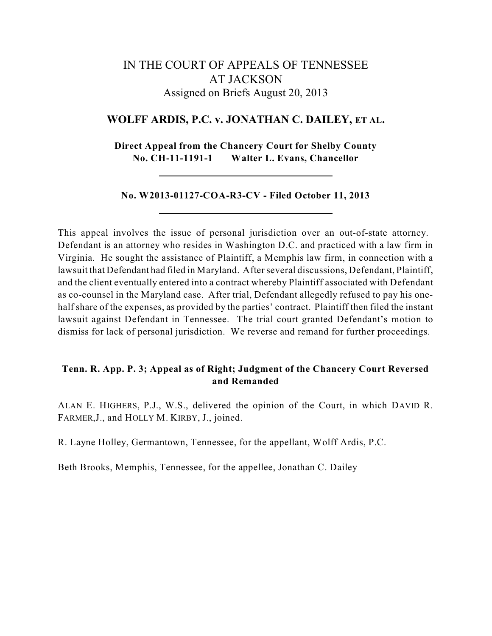# IN THE COURT OF APPEALS OF TENNESSEE AT JACKSON Assigned on Briefs August 20, 2013

## **WOLFF ARDIS, P.C. v. JONATHAN C. DAILEY, ET AL.**

**Direct Appeal from the Chancery Court for Shelby County No. CH-11-1191-1 Walter L. Evans, Chancellor**

## **No. W2013-01127-COA-R3-CV - Filed October 11, 2013**

This appeal involves the issue of personal jurisdiction over an out-of-state attorney. Defendant is an attorney who resides in Washington D.C. and practiced with a law firm in Virginia. He sought the assistance of Plaintiff, a Memphis law firm, in connection with a lawsuit that Defendant had filed in Maryland. After several discussions, Defendant, Plaintiff, and the client eventually entered into a contract whereby Plaintiff associated with Defendant as co-counsel in the Maryland case. After trial, Defendant allegedly refused to pay his onehalf share of the expenses, as provided by the parties' contract. Plaintiff then filed the instant lawsuit against Defendant in Tennessee. The trial court granted Defendant's motion to dismiss for lack of personal jurisdiction. We reverse and remand for further proceedings.

## **Tenn. R. App. P. 3; Appeal as of Right; Judgment of the Chancery Court Reversed and Remanded**

ALAN E. HIGHERS, P.J., W.S., delivered the opinion of the Court, in which DAVID R. FARMER,J., and HOLLY M. KIRBY, J., joined.

R. Layne Holley, Germantown, Tennessee, for the appellant, Wolff Ardis, P.C.

Beth Brooks, Memphis, Tennessee, for the appellee, Jonathan C. Dailey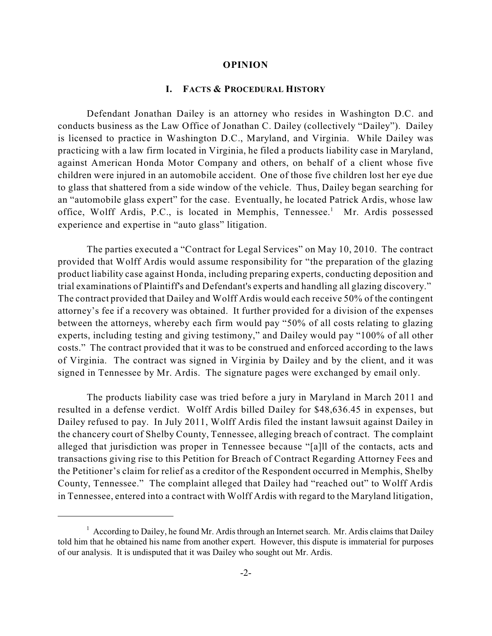#### **OPINION**

#### **I. FACTS & PROCEDURAL HISTORY**

Defendant Jonathan Dailey is an attorney who resides in Washington D.C. and conducts business as the Law Office of Jonathan C. Dailey (collectively "Dailey"). Dailey is licensed to practice in Washington D.C., Maryland, and Virginia. While Dailey was practicing with a law firm located in Virginia, he filed a products liability case in Maryland, against American Honda Motor Company and others, on behalf of a client whose five children were injured in an automobile accident. One of those five children lost her eye due to glass that shattered from a side window of the vehicle. Thus, Dailey began searching for an "automobile glass expert" for the case. Eventually, he located Patrick Ardis, whose law office, Wolff Ardis, P.C., is located in Memphis, Tennessee.<sup>1</sup> Mr. Ardis possessed experience and expertise in "auto glass" litigation.

The parties executed a "Contract for Legal Services" on May 10, 2010. The contract provided that Wolff Ardis would assume responsibility for "the preparation of the glazing product liability case against Honda, including preparing experts, conducting deposition and trial examinations of Plaintiff's and Defendant's experts and handling all glazing discovery." The contract provided that Dailey and Wolff Ardis would each receive 50% of the contingent attorney's fee if a recovery was obtained. It further provided for a division of the expenses between the attorneys, whereby each firm would pay "50% of all costs relating to glazing experts, including testing and giving testimony," and Dailey would pay "100% of all other costs." The contract provided that it was to be construed and enforced according to the laws of Virginia. The contract was signed in Virginia by Dailey and by the client, and it was signed in Tennessee by Mr. Ardis. The signature pages were exchanged by email only.

The products liability case was tried before a jury in Maryland in March 2011 and resulted in a defense verdict. Wolff Ardis billed Dailey for \$48,636.45 in expenses, but Dailey refused to pay. In July 2011, Wolff Ardis filed the instant lawsuit against Dailey in the chancery court of Shelby County, Tennessee, alleging breach of contract. The complaint alleged that jurisdiction was proper in Tennessee because "[a]ll of the contacts, acts and transactions giving rise to this Petition for Breach of Contract Regarding Attorney Fees and the Petitioner's claim for relief as a creditor of the Respondent occurred in Memphis, Shelby County, Tennessee." The complaint alleged that Dailey had "reached out" to Wolff Ardis in Tennessee, entered into a contract with Wolff Ardis with regard to the Maryland litigation,

 $1$  According to Dailey, he found Mr. Ardis through an Internet search. Mr. Ardis claims that Dailey told him that he obtained his name from another expert. However, this dispute is immaterial for purposes of our analysis. It is undisputed that it was Dailey who sought out Mr. Ardis.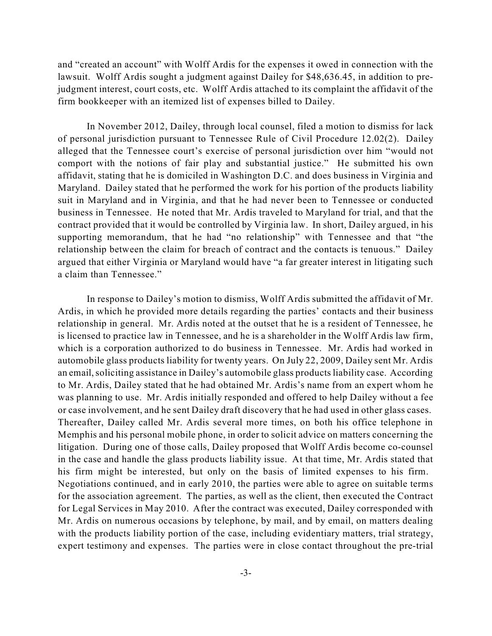and "created an account" with Wolff Ardis for the expenses it owed in connection with the lawsuit. Wolff Ardis sought a judgment against Dailey for \$48,636.45, in addition to prejudgment interest, court costs, etc. Wolff Ardis attached to its complaint the affidavit of the firm bookkeeper with an itemized list of expenses billed to Dailey.

In November 2012, Dailey, through local counsel, filed a motion to dismiss for lack of personal jurisdiction pursuant to Tennessee Rule of Civil Procedure 12.02(2). Dailey alleged that the Tennessee court's exercise of personal jurisdiction over him "would not comport with the notions of fair play and substantial justice." He submitted his own affidavit, stating that he is domiciled in Washington D.C. and does business in Virginia and Maryland. Dailey stated that he performed the work for his portion of the products liability suit in Maryland and in Virginia, and that he had never been to Tennessee or conducted business in Tennessee. He noted that Mr. Ardis traveled to Maryland for trial, and that the contract provided that it would be controlled by Virginia law. In short, Dailey argued, in his supporting memorandum, that he had "no relationship" with Tennessee and that "the relationship between the claim for breach of contract and the contacts is tenuous." Dailey argued that either Virginia or Maryland would have "a far greater interest in litigating such a claim than Tennessee."

In response to Dailey's motion to dismiss, Wolff Ardis submitted the affidavit of Mr. Ardis, in which he provided more details regarding the parties' contacts and their business relationship in general. Mr. Ardis noted at the outset that he is a resident of Tennessee, he is licensed to practice law in Tennessee, and he is a shareholder in the Wolff Ardis law firm, which is a corporation authorized to do business in Tennessee. Mr. Ardis had worked in automobile glass products liability for twenty years. On July 22, 2009, Dailey sent Mr. Ardis an email, soliciting assistance in Dailey's automobile glass products liability case. According to Mr. Ardis, Dailey stated that he had obtained Mr. Ardis's name from an expert whom he was planning to use. Mr. Ardis initially responded and offered to help Dailey without a fee or case involvement, and he sent Dailey draft discovery that he had used in other glass cases. Thereafter, Dailey called Mr. Ardis several more times, on both his office telephone in Memphis and his personal mobile phone, in order to solicit advice on matters concerning the litigation. During one of those calls, Dailey proposed that Wolff Ardis become co-counsel in the case and handle the glass products liability issue. At that time, Mr. Ardis stated that his firm might be interested, but only on the basis of limited expenses to his firm. Negotiations continued, and in early 2010, the parties were able to agree on suitable terms for the association agreement. The parties, as well as the client, then executed the Contract for Legal Services in May 2010. After the contract was executed, Dailey corresponded with Mr. Ardis on numerous occasions by telephone, by mail, and by email, on matters dealing with the products liability portion of the case, including evidentiary matters, trial strategy, expert testimony and expenses. The parties were in close contact throughout the pre-trial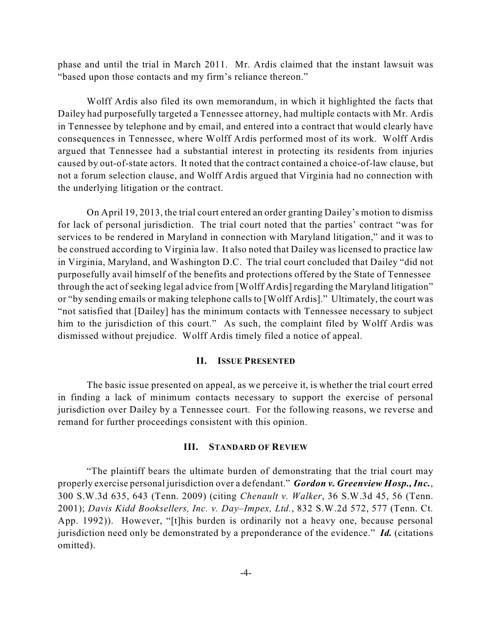phase and until the trial in March 2011. Mr. Ardis claimed that the instant lawsuit was "based upon those contacts and my firm's reliance thereon."

Wolff Ardis also filed its own memorandum, in which it highlighted the facts that Dailey had purposefully targeted a Tennessee attorney, had multiple contacts with Mr. Ardis in Tennessee by telephone and by email, and entered into a contract that would clearly have consequences in Tennessee, where Wolff Ardis performed most of its work. Wolff Ardis argued that Tennessee had a substantial interest in protecting its residents from injuries caused by out-of-state actors. It noted that the contract contained a choice-of-law clause, but not a forum selection clause, and Wolff Ardis argued that Virginia had no connection with the underlying litigation or the contract.

On April 19, 2013, the trial court entered an order granting Dailey's motion to dismiss for lack of personal jurisdiction. The trial court noted that the parties' contract "was for services to be rendered in Maryland in connection with Maryland litigation," and it was to be construed according to Virginia law. It also noted that Dailey was licensed to practice law in Virginia, Maryland, and Washington D.C. The trial court concluded that Dailey "did not purposefully avail himself of the benefits and protections offered by the State of Tennessee through the act of seeking legal advice from [Wolff Ardis] regarding the Maryland litigation" or "by sending emails or making telephone calls to [Wolff Ardis]." Ultimately, the court was "not satisfied that [Dailey] has the minimum contacts with Tennessee necessary to subject him to the jurisdiction of this court." As such, the complaint filed by Wolff Ardis was dismissed without prejudice. Wolff Ardis timely filed a notice of appeal.

#### **II. ISSUE PRESENTED**

The basic issue presented on appeal, as we perceive it, is whether the trial court erred in finding a lack of minimum contacts necessary to support the exercise of personal jurisdiction over Dailey by a Tennessee court. For the following reasons, we reverse and remand for further proceedings consistent with this opinion.

#### **III. STANDARD OF REVIEW**

"The plaintiff bears the ultimate burden of demonstrating that the trial court may properly exercise personal jurisdiction over a defendant." *Gordon v. Greenview Hosp.,Inc.*, 300 S.W.3d 635, 643 (Tenn. 2009) (citing *Chenault v. Walker*, 36 S.W.3d 45, 56 (Tenn. 2001); *Davis Kidd Booksellers, Inc. v. Day–Impex, Ltd.*, 832 S.W.2d 572, 577 (Tenn. Ct. App. 1992)). However, "[t]his burden is ordinarily not a heavy one, because personal jurisdiction need only be demonstrated by a preponderance of the evidence." *Id.* (citations omitted).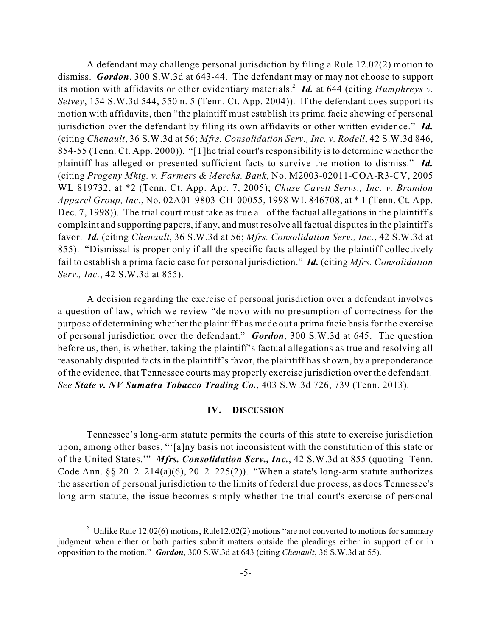A defendant may challenge personal jurisdiction by filing a Rule 12.02(2) motion to dismiss. *Gordon*, 300 S.W.3d at 643-44. The defendant may or may not choose to support its motion with affidavits or other evidentiary materials.<sup>2</sup> Id. at 644 (citing *Humphreys v. Selvey*, 154 S.W.3d 544, 550 n. 5 (Tenn. Ct. App. 2004)). If the defendant does support its motion with affidavits, then "the plaintiff must establish its prima facie showing of personal jurisdiction over the defendant by filing its own affidavits or other written evidence." *Id.* (citing *Chenault*, 36 S.W.3d at 56; *Mfrs. Consolidation Serv., Inc. v. Rodell*, 42 S.W.3d 846, 854-55 (Tenn. Ct. App. 2000)). "[T]he trial court's responsibility is to determine whether the plaintiff has alleged or presented sufficient facts to survive the motion to dismiss." *Id.* (citing *Progeny Mktg. v. Farmers & Merchs. Bank*, No. M2003-02011-COA-R3-CV, 2005 WL 819732, at \*2 (Tenn. Ct. App. Apr. 7, 2005); *Chase Cavett Servs., Inc. v. Brandon Apparel Group, Inc.*, No. 02A01-9803-CH-00055, 1998 WL 846708, at \* 1 (Tenn. Ct. App. Dec. 7, 1998)). The trial court must take as true all of the factual allegations in the plaintiff's complaint and supporting papers, if any, and must resolve all factual disputes in the plaintiff's favor. *Id.* (citing *Chenault*, 36 S.W.3d at 56; *Mfrs. Consolidation Serv., Inc.*, 42 S.W.3d at 855). "Dismissal is proper only if all the specific facts alleged by the plaintiff collectively fail to establish a prima facie case for personal jurisdiction." *Id.* (citing *Mfrs. Consolidation Serv., Inc.*, 42 S.W.3d at 855).

A decision regarding the exercise of personal jurisdiction over a defendant involves a question of law, which we review "de novo with no presumption of correctness for the purpose of determining whether the plaintiff has made out a prima facie basis for the exercise of personal jurisdiction over the defendant." *Gordon*, 300 S.W.3d at 645. The question before us, then, is whether, taking the plaintiff's factual allegations as true and resolving all reasonably disputed facts in the plaintiff's favor, the plaintiff has shown, by a preponderance of the evidence, that Tennessee courts may properly exercise jurisdiction over the defendant. *See State v. NV Sumatra Tobacco Trading Co.*, 403 S.W.3d 726, 739 (Tenn. 2013).

## **IV. DISCUSSION**

Tennessee's long-arm statute permits the courts of this state to exercise jurisdiction upon, among other bases, "'[a]ny basis not inconsistent with the constitution of this state or of the United States.'" *Mfrs. Consolidation Serv., Inc.*, 42 S.W.3d at 855 (quoting Tenn. Code Ann.  $\S$ § 20–2–214(a)(6), 20–2–225(2)). "When a state's long-arm statute authorizes the assertion of personal jurisdiction to the limits of federal due process, as does Tennessee's long-arm statute, the issue becomes simply whether the trial court's exercise of personal

<sup>&</sup>lt;sup>2</sup> Unlike Rule 12.02(6) motions, Rule12.02(2) motions "are not converted to motions for summary judgment when either or both parties submit matters outside the pleadings either in support of or in opposition to the motion." *Gordon*, 300 S.W.3d at 643 (citing *Chenault*, 36 S.W.3d at 55).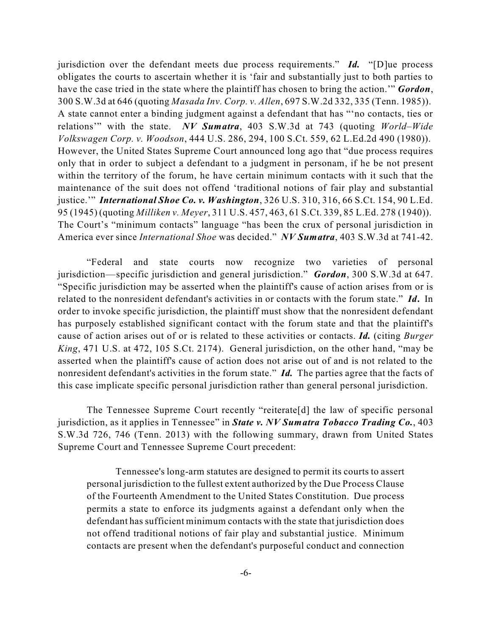jurisdiction over the defendant meets due process requirements." *Id.* "[D]ue process obligates the courts to ascertain whether it is 'fair and substantially just to both parties to have the case tried in the state where the plaintiff has chosen to bring the action.'" *Gordon*, 300 S.W.3d at 646 (quoting *Masada Inv. Corp. v. Allen*, 697 S.W.2d 332, 335 (Tenn. 1985)). A state cannot enter a binding judgment against a defendant that has "'no contacts, ties or relations'" with the state. *NV Sumatra*, 403 S.W.3d at 743 (quoting *World–Wide Volkswagen Corp. v. Woodson*, 444 U.S. 286, 294, 100 S.Ct. 559, 62 L.Ed.2d 490 (1980)). However, the United States Supreme Court announced long ago that "due process requires only that in order to subject a defendant to a judgment in personam, if he be not present within the territory of the forum, he have certain minimum contacts with it such that the maintenance of the suit does not offend 'traditional notions of fair play and substantial justice.'" *International Shoe Co. v. Washington*, 326 U.S. 310, 316, 66 S.Ct. 154, 90 L.Ed. 95 (1945) (quoting *Milliken v. Meyer*, 311 U.S. 457, 463, 61 S.Ct. 339, 85 L.Ed. 278 (1940)). The Court's "minimum contacts" language "has been the crux of personal jurisdiction in America ever since *International Shoe* was decided." *NV Sumatra*, 403 S.W.3d at 741-42.

"Federal and state courts now recognize two varieties of personal jurisdiction—specific jurisdiction and general jurisdiction." *Gordon*, 300 S.W.3d at 647. "Specific jurisdiction may be asserted when the plaintiff's cause of action arises from or is related to the nonresident defendant's activities in or contacts with the forum state." *Id***.** In order to invoke specific jurisdiction, the plaintiff must show that the nonresident defendant has purposely established significant contact with the forum state and that the plaintiff's cause of action arises out of or is related to these activities or contacts. *Id.* (citing *Burger King*, 471 U.S. at 472, 105 S.Ct. 2174). General jurisdiction, on the other hand, "may be asserted when the plaintiff's cause of action does not arise out of and is not related to the nonresident defendant's activities in the forum state." *Id.* The parties agree that the facts of this case implicate specific personal jurisdiction rather than general personal jurisdiction.

The Tennessee Supreme Court recently "reiterate[d] the law of specific personal jurisdiction, as it applies in Tennessee" in *State v. NV Sumatra Tobacco Trading Co.*, 403 S.W.3d 726, 746 (Tenn. 2013) with the following summary, drawn from United States Supreme Court and Tennessee Supreme Court precedent:

Tennessee's long-arm statutes are designed to permit its courts to assert personal jurisdiction to the fullest extent authorized by the Due Process Clause of the Fourteenth Amendment to the United States Constitution. Due process permits a state to enforce its judgments against a defendant only when the defendant has sufficient minimum contacts with the state that jurisdiction does not offend traditional notions of fair play and substantial justice. Minimum contacts are present when the defendant's purposeful conduct and connection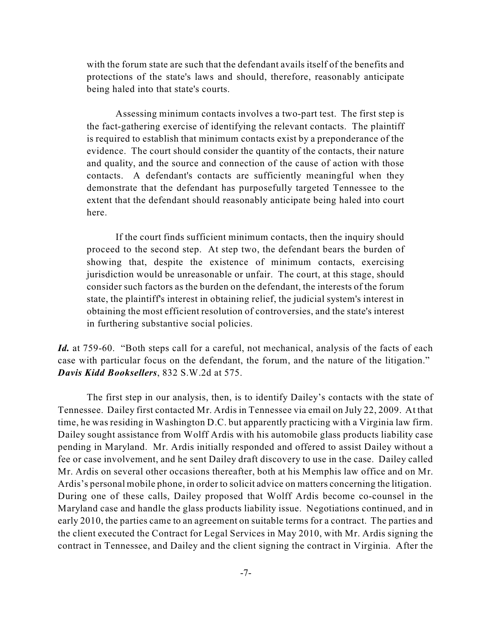with the forum state are such that the defendant avails itself of the benefits and protections of the state's laws and should, therefore, reasonably anticipate being haled into that state's courts.

Assessing minimum contacts involves a two-part test. The first step is the fact-gathering exercise of identifying the relevant contacts. The plaintiff is required to establish that minimum contacts exist by a preponderance of the evidence. The court should consider the quantity of the contacts, their nature and quality, and the source and connection of the cause of action with those contacts. A defendant's contacts are sufficiently meaningful when they demonstrate that the defendant has purposefully targeted Tennessee to the extent that the defendant should reasonably anticipate being haled into court here.

If the court finds sufficient minimum contacts, then the inquiry should proceed to the second step. At step two, the defendant bears the burden of showing that, despite the existence of minimum contacts, exercising jurisdiction would be unreasonable or unfair. The court, at this stage, should consider such factors as the burden on the defendant, the interests of the forum state, the plaintiff's interest in obtaining relief, the judicial system's interest in obtaining the most efficient resolution of controversies, and the state's interest in furthering substantive social policies.

*Id.* at 759-60. "Both steps call for a careful, not mechanical, analysis of the facts of each case with particular focus on the defendant, the forum, and the nature of the litigation." *Davis Kidd Booksellers*, 832 S.W.2d at 575.

The first step in our analysis, then, is to identify Dailey's contacts with the state of Tennessee. Dailey first contacted Mr. Ardis in Tennessee via email on July 22, 2009. At that time, he was residing in Washington D.C. but apparently practicing with a Virginia law firm. Dailey sought assistance from Wolff Ardis with his automobile glass products liability case pending in Maryland. Mr. Ardis initially responded and offered to assist Dailey without a fee or case involvement, and he sent Dailey draft discovery to use in the case. Dailey called Mr. Ardis on several other occasions thereafter, both at his Memphis law office and on Mr. Ardis's personal mobile phone, in order to solicit advice on matters concerning the litigation. During one of these calls, Dailey proposed that Wolff Ardis become co-counsel in the Maryland case and handle the glass products liability issue. Negotiations continued, and in early 2010, the parties came to an agreement on suitable terms for a contract. The parties and the client executed the Contract for Legal Services in May 2010, with Mr. Ardis signing the contract in Tennessee, and Dailey and the client signing the contract in Virginia. After the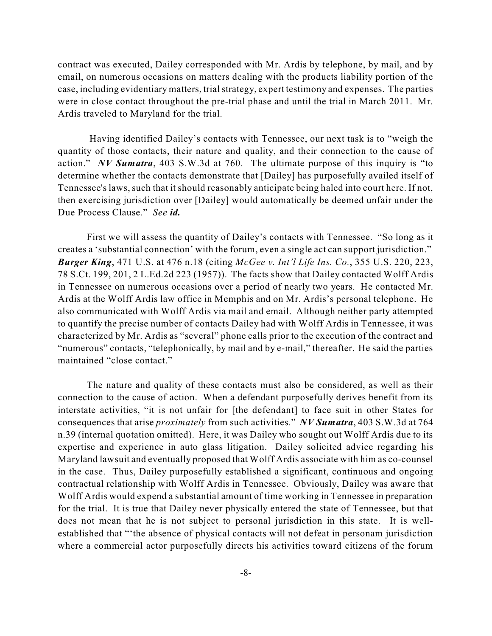contract was executed, Dailey corresponded with Mr. Ardis by telephone, by mail, and by email, on numerous occasions on matters dealing with the products liability portion of the case, including evidentiary matters, trialstrategy, expert testimony and expenses. The parties were in close contact throughout the pre-trial phase and until the trial in March 2011. Mr. Ardis traveled to Maryland for the trial.

Having identified Dailey's contacts with Tennessee, our next task is to "weigh the quantity of those contacts, their nature and quality, and their connection to the cause of action." *NV Sumatra*, 403 S.W.3d at 760. The ultimate purpose of this inquiry is "to determine whether the contacts demonstrate that [Dailey] has purposefully availed itself of Tennessee's laws, such that it should reasonably anticipate being haled into court here. If not, then exercising jurisdiction over [Dailey] would automatically be deemed unfair under the Due Process Clause." *See id.*

First we will assess the quantity of Dailey's contacts with Tennessee. "So long as it creates a 'substantial connection' with the forum, even a single act can support jurisdiction." *Burger King*, 471 U.S. at 476 n.18 (citing *McGee v. Int'l Life Ins. Co.*, 355 U.S. 220, 223, 78 S.Ct. 199, 201, 2 L.Ed.2d 223 (1957)). The facts show that Dailey contacted Wolff Ardis in Tennessee on numerous occasions over a period of nearly two years. He contacted Mr. Ardis at the Wolff Ardis law office in Memphis and on Mr. Ardis's personal telephone. He also communicated with Wolff Ardis via mail and email. Although neither party attempted to quantify the precise number of contacts Dailey had with Wolff Ardis in Tennessee, it was characterized by Mr. Ardis as "several" phone calls prior to the execution of the contract and "numerous" contacts, "telephonically, by mail and by e-mail," thereafter. He said the parties maintained "close contact."

The nature and quality of these contacts must also be considered, as well as their connection to the cause of action. When a defendant purposefully derives benefit from its interstate activities, "it is not unfair for [the defendant] to face suit in other States for consequences that arise *proximately* from such activities." *NV Sumatra*, 403 S.W.3d at 764 n.39 (internal quotation omitted). Here, it was Dailey who sought out Wolff Ardis due to its expertise and experience in auto glass litigation. Dailey solicited advice regarding his Maryland lawsuit and eventually proposed that Wolff Ardis associate with him as co-counsel in the case. Thus, Dailey purposefully established a significant, continuous and ongoing contractual relationship with Wolff Ardis in Tennessee. Obviously, Dailey was aware that Wolff Ardis would expend a substantial amount of time working in Tennessee in preparation for the trial. It is true that Dailey never physically entered the state of Tennessee, but that does not mean that he is not subject to personal jurisdiction in this state. It is wellestablished that "'the absence of physical contacts will not defeat in personam jurisdiction where a commercial actor purposefully directs his activities toward citizens of the forum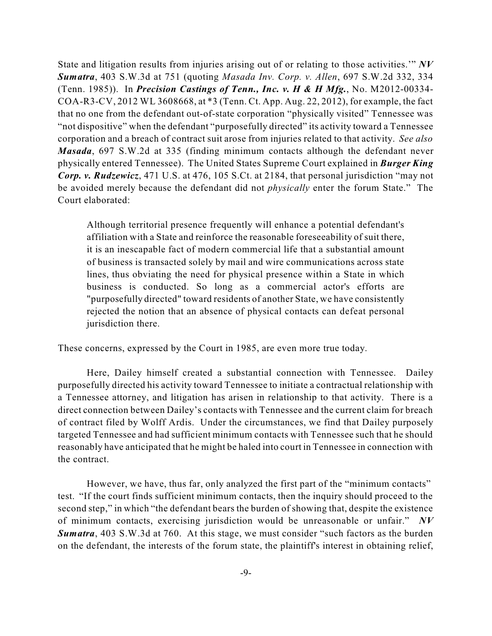State and litigation results from injuries arising out of or relating to those activities.'" *NV Sumatra*, 403 S.W.3d at 751 (quoting *Masada Inv. Corp. v. Allen*, 697 S.W.2d 332, 334 (Tenn. 1985)). In *Precision Castings of Tenn., Inc. v. H & H Mfg.*, No. M2012-00334- COA-R3-CV, 2012 WL 3608668, at \*3 (Tenn. Ct. App. Aug. 22, 2012), for example, the fact that no one from the defendant out-of-state corporation "physically visited" Tennessee was "not dispositive" when the defendant "purposefully directed" its activity toward a Tennessee corporation and a breach of contract suit arose from injuries related to that activity. *See also Masada*, 697 S.W.2d at 335 (finding minimum contacts although the defendant never physically entered Tennessee). The United States Supreme Court explained in *Burger King Corp. v. Rudzewicz*, 471 U.S. at 476, 105 S.Ct. at 2184, that personal jurisdiction "may not be avoided merely because the defendant did not *physically* enter the forum State." The Court elaborated:

Although territorial presence frequently will enhance a potential defendant's affiliation with a State and reinforce the reasonable foreseeability of suit there, it is an inescapable fact of modern commercial life that a substantial amount of business is transacted solely by mail and wire communications across state lines, thus obviating the need for physical presence within a State in which business is conducted. So long as a commercial actor's efforts are "purposefully directed" toward residents of another State, we have consistently rejected the notion that an absence of physical contacts can defeat personal jurisdiction there.

These concerns, expressed by the Court in 1985, are even more true today.

Here, Dailey himself created a substantial connection with Tennessee. Dailey purposefully directed his activity toward Tennessee to initiate a contractual relationship with a Tennessee attorney, and litigation has arisen in relationship to that activity. There is a direct connection between Dailey's contacts with Tennessee and the current claim for breach of contract filed by Wolff Ardis. Under the circumstances, we find that Dailey purposely targeted Tennessee and had sufficient minimum contacts with Tennessee such that he should reasonably have anticipated that he might be haled into court in Tennessee in connection with the contract.

However, we have, thus far, only analyzed the first part of the "minimum contacts" test. "If the court finds sufficient minimum contacts, then the inquiry should proceed to the second step," in which "the defendant bears the burden of showing that, despite the existence of minimum contacts, exercising jurisdiction would be unreasonable or unfair." *NV Sumatra*, 403 S.W.3d at 760. At this stage, we must consider "such factors as the burden on the defendant, the interests of the forum state, the plaintiff's interest in obtaining relief,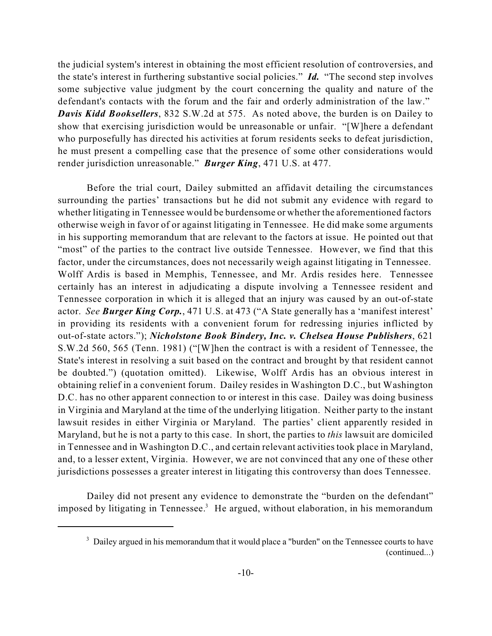the judicial system's interest in obtaining the most efficient resolution of controversies, and the state's interest in furthering substantive social policies." *Id.* "The second step involves some subjective value judgment by the court concerning the quality and nature of the defendant's contacts with the forum and the fair and orderly administration of the law." *Davis Kidd Booksellers*, 832 S.W.2d at 575. As noted above, the burden is on Dailey to show that exercising jurisdiction would be unreasonable or unfair. "[W]here a defendant who purposefully has directed his activities at forum residents seeks to defeat jurisdiction, he must present a compelling case that the presence of some other considerations would render jurisdiction unreasonable." *Burger King*, 471 U.S. at 477.

Before the trial court, Dailey submitted an affidavit detailing the circumstances surrounding the parties' transactions but he did not submit any evidence with regard to whether litigating in Tennessee would be burdensome or whether the aforementioned factors otherwise weigh in favor of or against litigating in Tennessee. He did make some arguments in his supporting memorandum that are relevant to the factors at issue. He pointed out that "most" of the parties to the contract live outside Tennessee. However, we find that this factor, under the circumstances, does not necessarily weigh against litigating in Tennessee. Wolff Ardis is based in Memphis, Tennessee, and Mr. Ardis resides here. Tennessee certainly has an interest in adjudicating a dispute involving a Tennessee resident and Tennessee corporation in which it is alleged that an injury was caused by an out-of-state actor. *See Burger King Corp.*, 471 U.S. at 473 ("A State generally has a 'manifest interest' in providing its residents with a convenient forum for redressing injuries inflicted by out-of-state actors."); *Nicholstone Book Bindery, Inc. v. Chelsea House Publishers*, 621 S.W.2d 560, 565 (Tenn. 1981) ("[W]hen the contract is with a resident of Tennessee, the State's interest in resolving a suit based on the contract and brought by that resident cannot be doubted.") (quotation omitted). Likewise, Wolff Ardis has an obvious interest in obtaining relief in a convenient forum. Dailey resides in Washington D.C., but Washington D.C. has no other apparent connection to or interest in this case. Dailey was doing business in Virginia and Maryland at the time of the underlying litigation. Neither party to the instant lawsuit resides in either Virginia or Maryland. The parties' client apparently resided in Maryland, but he is not a party to this case. In short, the parties to *this* lawsuit are domiciled in Tennessee and in Washington D.C., and certain relevant activities took place in Maryland, and, to a lesser extent, Virginia. However, we are not convinced that any one of these other jurisdictions possesses a greater interest in litigating this controversy than does Tennessee.

Dailey did not present any evidence to demonstrate the "burden on the defendant" imposed by litigating in Tennessee.<sup>3</sup> He argued, without elaboration, in his memorandum

<sup>&</sup>lt;sup>3</sup> Dailey argued in his memorandum that it would place a "burden" on the Tennessee courts to have (continued...)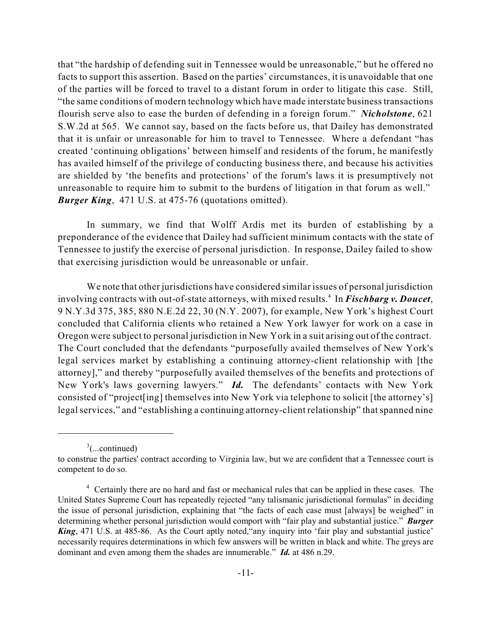that "the hardship of defending suit in Tennessee would be unreasonable," but he offered no facts to support this assertion. Based on the parties' circumstances, it is unavoidable that one of the parties will be forced to travel to a distant forum in order to litigate this case. Still, "the same conditions of modern technology which have made interstate businesstransactions flourish serve also to ease the burden of defending in a foreign forum." *Nicholstone*, 621 S.W.2d at 565. We cannot say, based on the facts before us, that Dailey has demonstrated that it is unfair or unreasonable for him to travel to Tennessee. Where a defendant "has created 'continuing obligations' between himself and residents of the forum, he manifestly has availed himself of the privilege of conducting business there, and because his activities are shielded by 'the benefits and protections' of the forum's laws it is presumptively not unreasonable to require him to submit to the burdens of litigation in that forum as well." *Burger King*, 471 U.S. at 475-76 (quotations omitted).

In summary, we find that Wolff Ardis met its burden of establishing by a preponderance of the evidence that Dailey had sufficient minimum contacts with the state of Tennessee to justify the exercise of personal jurisdiction. In response, Dailey failed to show that exercising jurisdiction would be unreasonable or unfair.

We note that other jurisdictions have considered similar issues of personal jurisdiction involving contracts with out-of-state attorneys, with mixed results.<sup>4</sup> In *Fischbarg v. Doucet*, 9 N.Y.3d 375, 385, 880 N.E.2d 22, 30 (N.Y. 2007), for example, New York's highest Court concluded that California clients who retained a New York lawyer for work on a case in Oregon were subject to personal jurisdiction in New York in a suit arising out of the contract. The Court concluded that the defendants "purposefully availed themselves of New York's legal services market by establishing a continuing attorney-client relationship with [the attorney]," and thereby "purposefully availed themselves of the benefits and protections of New York's laws governing lawyers." *Id.* The defendants' contacts with New York consisted of "project[ing] themselves into New York via telephone to solicit [the attorney's] legal services," and "establishing a continuing attorney-client relationship" that spanned nine

 $3$ (...continued)

to construe the parties' contract according to Virginia law, but we are confident that a Tennessee court is competent to do so.

<sup>&</sup>lt;sup>4</sup> Certainly there are no hard and fast or mechanical rules that can be applied in these cases. The United States Supreme Court has repeatedly rejected "any talismanic jurisdictional formulas" in deciding the issue of personal jurisdiction, explaining that "the facts of each case must [always] be weighed" in determining whether personal jurisdiction would comport with "fair play and substantial justice." *Burger King*, 471 U.S. at 485-86. As the Court aptly noted, any inquiry into 'fair play and substantial justice' necessarily requires determinations in which few answers will be written in black and white. The greys are dominant and even among them the shades are innumerable." *Id.* at 486 n.29.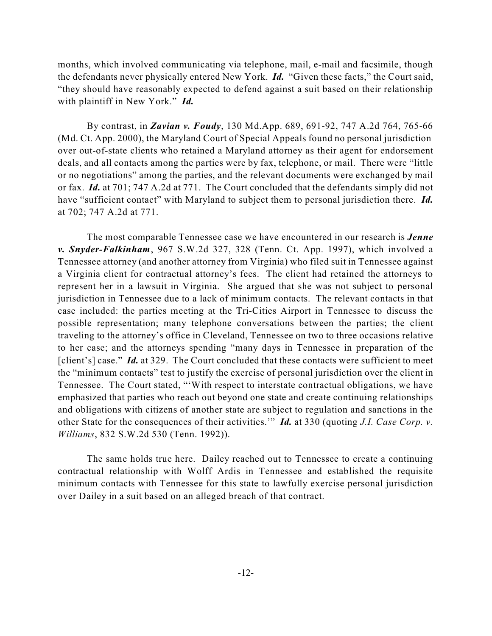months, which involved communicating via telephone, mail, e-mail and facsimile, though the defendants never physically entered New York. *Id.* "Given these facts," the Court said, "they should have reasonably expected to defend against a suit based on their relationship with plaintiff in New York." *Id.*

By contrast, in *Zavian v. Foudy*, 130 Md.App. 689, 691-92, 747 A.2d 764, 765-66 (Md. Ct. App. 2000), the Maryland Court of Special Appeals found no personal jurisdiction over out-of-state clients who retained a Maryland attorney as their agent for endorsement deals, and all contacts among the parties were by fax, telephone, or mail. There were "little or no negotiations" among the parties, and the relevant documents were exchanged by mail or fax. *Id.* at 701; 747 A.2d at 771. The Court concluded that the defendants simply did not have "sufficient contact" with Maryland to subject them to personal jurisdiction there. *Id.* at 702; 747 A.2d at 771.

The most comparable Tennessee case we have encountered in our research is *Jenne v. Snyder-Falkinham*, 967 S.W.2d 327, 328 (Tenn. Ct. App. 1997), which involved a Tennessee attorney (and another attorney from Virginia) who filed suit in Tennessee against a Virginia client for contractual attorney's fees. The client had retained the attorneys to represent her in a lawsuit in Virginia. She argued that she was not subject to personal jurisdiction in Tennessee due to a lack of minimum contacts. The relevant contacts in that case included: the parties meeting at the Tri-Cities Airport in Tennessee to discuss the possible representation; many telephone conversations between the parties; the client traveling to the attorney's office in Cleveland, Tennessee on two to three occasions relative to her case; and the attorneys spending "many days in Tennessee in preparation of the [client's] case." *Id.* at 329. The Court concluded that these contacts were sufficient to meet the "minimum contacts" test to justify the exercise of personal jurisdiction over the client in Tennessee. The Court stated, "'With respect to interstate contractual obligations, we have emphasized that parties who reach out beyond one state and create continuing relationships and obligations with citizens of another state are subject to regulation and sanctions in the other State for the consequences of their activities.'" *Id.* at 330 (quoting *J.I. Case Corp. v. Williams*, 832 S.W.2d 530 (Tenn. 1992)).

The same holds true here. Dailey reached out to Tennessee to create a continuing contractual relationship with Wolff Ardis in Tennessee and established the requisite minimum contacts with Tennessee for this state to lawfully exercise personal jurisdiction over Dailey in a suit based on an alleged breach of that contract.